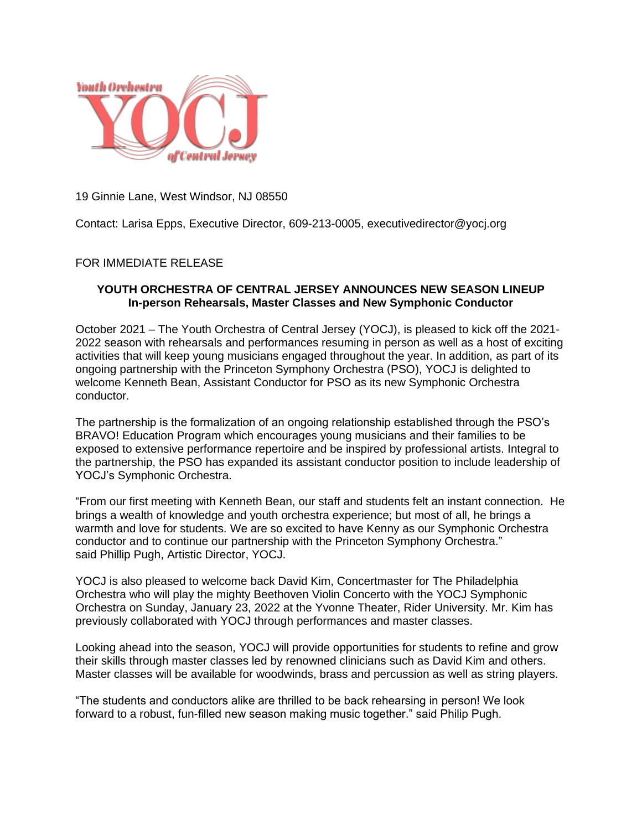

19 Ginnie Lane, West Windsor, NJ 08550

Contact: Larisa Epps, Executive Director, 609-213-0005, executivedirector@yocj.org

## FOR IMMEDIATE RELEASE

## **YOUTH ORCHESTRA OF CENTRAL JERSEY ANNOUNCES NEW SEASON LINEUP In-person Rehearsals, Master Classes and New Symphonic Conductor**

October 2021 – The Youth Orchestra of Central Jersey (YOCJ), is pleased to kick off the 2021- 2022 season with rehearsals and performances resuming in person as well as a host of exciting activities that will keep young musicians engaged throughout the year. In addition, as part of its ongoing partnership with the Princeton Symphony Orchestra (PSO), YOCJ is delighted to welcome Kenneth Bean, Assistant Conductor for PSO as its new Symphonic Orchestra conductor.

The partnership is the formalization of an ongoing relationship established through the PSO's BRAVO! Education Program which encourages young musicians and their families to be exposed to extensive performance repertoire and be inspired by professional artists. Integral to the partnership, the PSO has expanded its assistant conductor position to include leadership of YOCJ's Symphonic Orchestra.

"From our first meeting with Kenneth Bean, our staff and students felt an instant connection. He brings a wealth of knowledge and youth orchestra experience; but most of all, he brings a warmth and love for students. We are so excited to have Kenny as our Symphonic Orchestra conductor and to continue our partnership with the Princeton Symphony Orchestra." said Phillip Pugh, Artistic Director, YOCJ.

YOCJ is also pleased to welcome back David Kim, Concertmaster for The Philadelphia Orchestra who will play the mighty Beethoven Violin Concerto with the YOCJ Symphonic Orchestra on Sunday, January 23, 2022 at the Yvonne Theater, Rider University. Mr. Kim has previously collaborated with YOCJ through performances and master classes.

Looking ahead into the season, YOCJ will provide opportunities for students to refine and grow their skills through master classes led by renowned clinicians such as David Kim and others. Master classes will be available for woodwinds, brass and percussion as well as string players.

"The students and conductors alike are thrilled to be back rehearsing in person! We look forward to a robust, fun-filled new season making music together." said Philip Pugh.